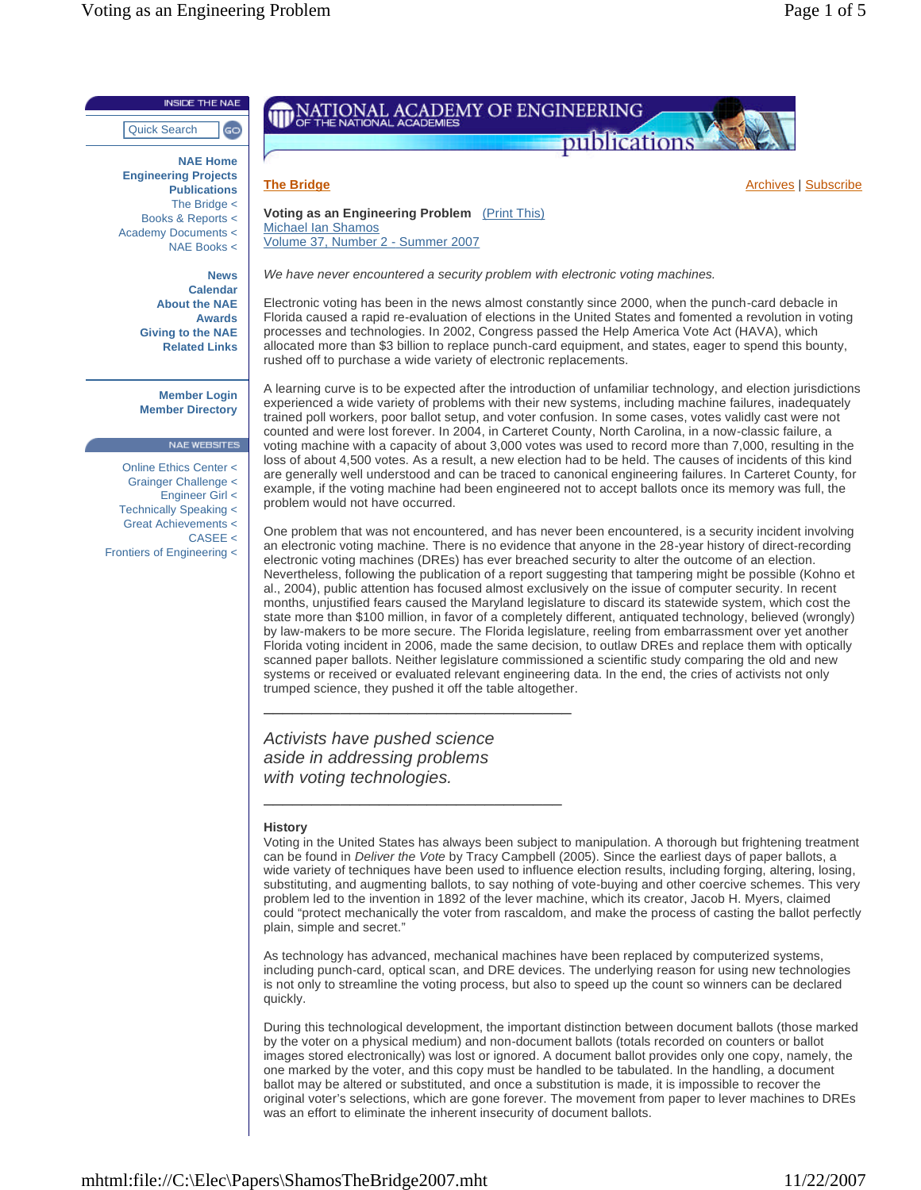**Publications** The Bridge < Books & Reports < Academy Documents < NAE Books <

> **Giving to the NAE Related Links**

**Member Login Member Directory**

NAE WEBSITES

CASEE <

Online Ethics Center < Grainger Challenge < Engineer Girl < Technically Speaking < Great Achievements <

Frontiers of Engineering <

**News Calendar About the NAE Awards**



**<u>The Bridge</u> Archives | Subscribe Archives | Subscribe Archives | Subscribe</u> Archives | Subscribe Archives | Subscribe** 

**Voting as an Engineering Problem** (Print This) Michael Ian Shamos Volume 37, Number 2 - Summer 2007

*We have never encountered a security problem with electronic voting machines.*

Electronic voting has been in the news almost constantly since 2000, when the punch-card debacle in Florida caused a rapid re-evaluation of elections in the United States and fomented a revolution in voting processes and technologies. In 2002, Congress passed the Help America Vote Act (HAVA), which allocated more than \$3 billion to replace punch-card equipment, and states, eager to spend this bounty, rushed off to purchase a wide variety of electronic replacements.

A learning curve is to be expected after the introduction of unfamiliar technology, and election jurisdictions experienced a wide variety of problems with their new systems, including machine failures, inadequately trained poll workers, poor ballot setup, and voter confusion. In some cases, votes validly cast were not counted and were lost forever. In 2004, in Carteret County, North Carolina, in a now-classic failure, a voting machine with a capacity of about 3,000 votes was used to record more than 7,000, resulting in the loss of about 4,500 votes. As a result, a new election had to be held. The causes of incidents of this kind are generally well understood and can be traced to canonical engineering failures. In Carteret County, for example, if the voting machine had been engineered not to accept ballots once its memory was full, the problem would not have occurred.

One problem that was not encountered, and has never been encountered, is a security incident involving an electronic voting machine. There is no evidence that anyone in the 28-year history of direct-recording electronic voting machines (DREs) has ever breached security to alter the outcome of an election. Nevertheless, following the publication of a report suggesting that tampering might be possible (Kohno et al., 2004), public attention has focused almost exclusively on the issue of computer security. In recent months, unjustified fears caused the Maryland legislature to discard its statewide system, which cost the state more than \$100 million, in favor of a completely different, antiquated technology, believed (wrongly) by law-makers to be more secure. The Florida legislature, reeling from embarrassment over yet another Florida voting incident in 2006, made the same decision, to outlaw DREs and replace them with optically scanned paper ballots. Neither legislature commissioned a scientific study comparing the old and new systems or received or evaluated relevant engineering data. In the end, the cries of activists not only trumped science, they pushed it off the table altogether.

*Activists have pushed science aside in addressing problems with voting technologies.*

\_\_\_\_\_\_\_\_\_\_\_\_\_\_\_\_\_\_\_\_\_\_\_\_\_\_\_\_\_\_\_\_

\_\_\_\_\_\_\_\_\_\_\_\_\_\_\_\_\_\_\_\_\_\_\_\_\_\_\_\_\_\_\_

## **History**

Voting in the United States has always been subject to manipulation. A thorough but frightening treatment can be found in *Deliver the Vote* by Tracy Campbell (2005). Since the earliest days of paper ballots, a wide variety of techniques have been used to influence election results, including forging, altering, losing, substituting, and augmenting ballots, to say nothing of vote-buying and other coercive schemes. This very problem led to the invention in 1892 of the lever machine, which its creator, Jacob H. Myers, claimed could "protect mechanically the voter from rascaldom, and make the process of casting the ballot perfectly plain, simple and secret."

As technology has advanced, mechanical machines have been replaced by computerized systems, including punch-card, optical scan, and DRE devices. The underlying reason for using new technologies is not only to streamline the voting process, but also to speed up the count so winners can be declared quickly.

During this technological development, the important distinction between document ballots (those marked by the voter on a physical medium) and non-document ballots (totals recorded on counters or ballot images stored electronically) was lost or ignored. A document ballot provides only one copy, namely, the one marked by the voter, and this copy must be handled to be tabulated. In the handling, a document ballot may be altered or substituted, and once a substitution is made, it is impossible to recover the original voter's selections, which are gone forever. The movement from paper to lever machines to DREs was an effort to eliminate the inherent insecurity of document ballots.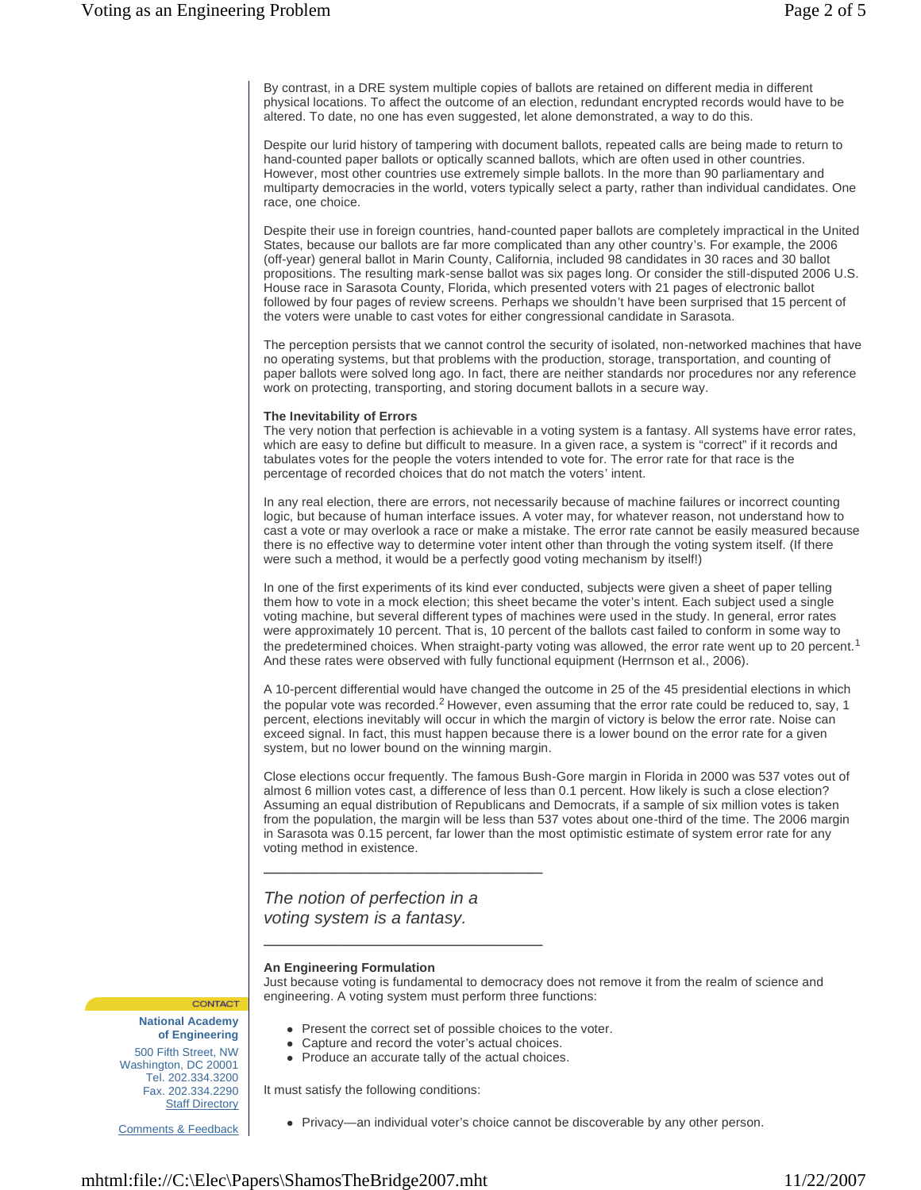By contrast, in a DRE system multiple copies of ballots are retained on different media in different physical locations. To affect the outcome of an election, redundant encrypted records would have to be altered. To date, no one has even suggested, let alone demonstrated, a way to do this.

Despite our lurid history of tampering with document ballots, repeated calls are being made to return to hand-counted paper ballots or optically scanned ballots, which are often used in other countries. However, most other countries use extremely simple ballots. In the more than 90 parliamentary and multiparty democracies in the world, voters typically select a party, rather than individual candidates. One race, one choice.

Despite their use in foreign countries, hand-counted paper ballots are completely impractical in the United States, because our ballots are far more complicated than any other country's. For example, the 2006 (off-year) general ballot in Marin County, California, included 98 candidates in 30 races and 30 ballot propositions. The resulting mark-sense ballot was six pages long. Or consider the still-disputed 2006 U.S. House race in Sarasota County, Florida, which presented voters with 21 pages of electronic ballot followed by four pages of review screens. Perhaps we shouldn't have been surprised that 15 percent of the voters were unable to cast votes for either congressional candidate in Sarasota.

The perception persists that we cannot control the security of isolated, non-networked machines that have no operating systems, but that problems with the production, storage, transportation, and counting of paper ballots were solved long ago. In fact, there are neither standards nor procedures nor any reference work on protecting, transporting, and storing document ballots in a secure way.

## **The Inevitability of Errors**

The very notion that perfection is achievable in a voting system is a fantasy. All systems have error rates, which are easy to define but difficult to measure. In a given race, a system is "correct" if it records and tabulates votes for the people the voters intended to vote for. The error rate for that race is the percentage of recorded choices that do not match the voters' intent.

In any real election, there are errors, not necessarily because of machine failures or incorrect counting logic, but because of human interface issues. A voter may, for whatever reason, not understand how to cast a vote or may overlook a race or make a mistake. The error rate cannot be easily measured because there is no effective way to determine voter intent other than through the voting system itself. (If there were such a method, it would be a perfectly good voting mechanism by itself!)

In one of the first experiments of its kind ever conducted, subjects were given a sheet of paper telling them how to vote in a mock election; this sheet became the voter's intent. Each subject used a single voting machine, but several different types of machines were used in the study. In general, error rates were approximately 10 percent. That is, 10 percent of the ballots cast failed to conform in some way to the predetermined choices. When straight-party voting was allowed, the error rate went up to 20 percent.<sup>1</sup> And these rates were observed with fully functional equipment (Herrnson et al., 2006).

A 10-percent differential would have changed the outcome in 25 of the 45 presidential elections in which the popular vote was recorded.<sup>2</sup> However, even assuming that the error rate could be reduced to, say, 1 percent, elections inevitably will occur in which the margin of victory is below the error rate. Noise can exceed signal. In fact, this must happen because there is a lower bound on the error rate for a given system, but no lower bound on the winning margin.

Close elections occur frequently. The famous Bush-Gore margin in Florida in 2000 was 537 votes out of almost 6 million votes cast, a difference of less than 0.1 percent. How likely is such a close election? Assuming an equal distribution of Republicans and Democrats, if a sample of six million votes is taken from the population, the margin will be less than 537 votes about one-third of the time. The 2006 margin in Sarasota was 0.15 percent, far lower than the most optimistic estimate of system error rate for any voting method in existence.

*The notion of perfection in a voting system is a fantasy.*

\_\_\_\_\_\_\_\_\_\_\_\_\_\_\_\_\_\_\_\_\_\_\_\_\_\_\_\_\_

\_\_\_\_\_\_\_\_\_\_\_\_\_\_\_\_\_\_\_\_\_\_\_\_\_\_\_\_\_

## **An Engineering Formulation**

Just because voting is fundamental to democracy does not remove it from the realm of science and engineering. A voting system must perform three functions:

**National Academy of Engineering** 500 Fifth Street, NW Washington, DC 20001 Tel. 202.334.3200 Fax. 202.334.2290 **Staff Directory** 

CONTACT

Comments & Feedback

- Present the correct set of possible choices to the voter.
- Capture and record the voter's actual choices.
- Produce an accurate tally of the actual choices.

It must satisfy the following conditions:

Privacy—an individual voter's choice cannot be discoverable by any other person.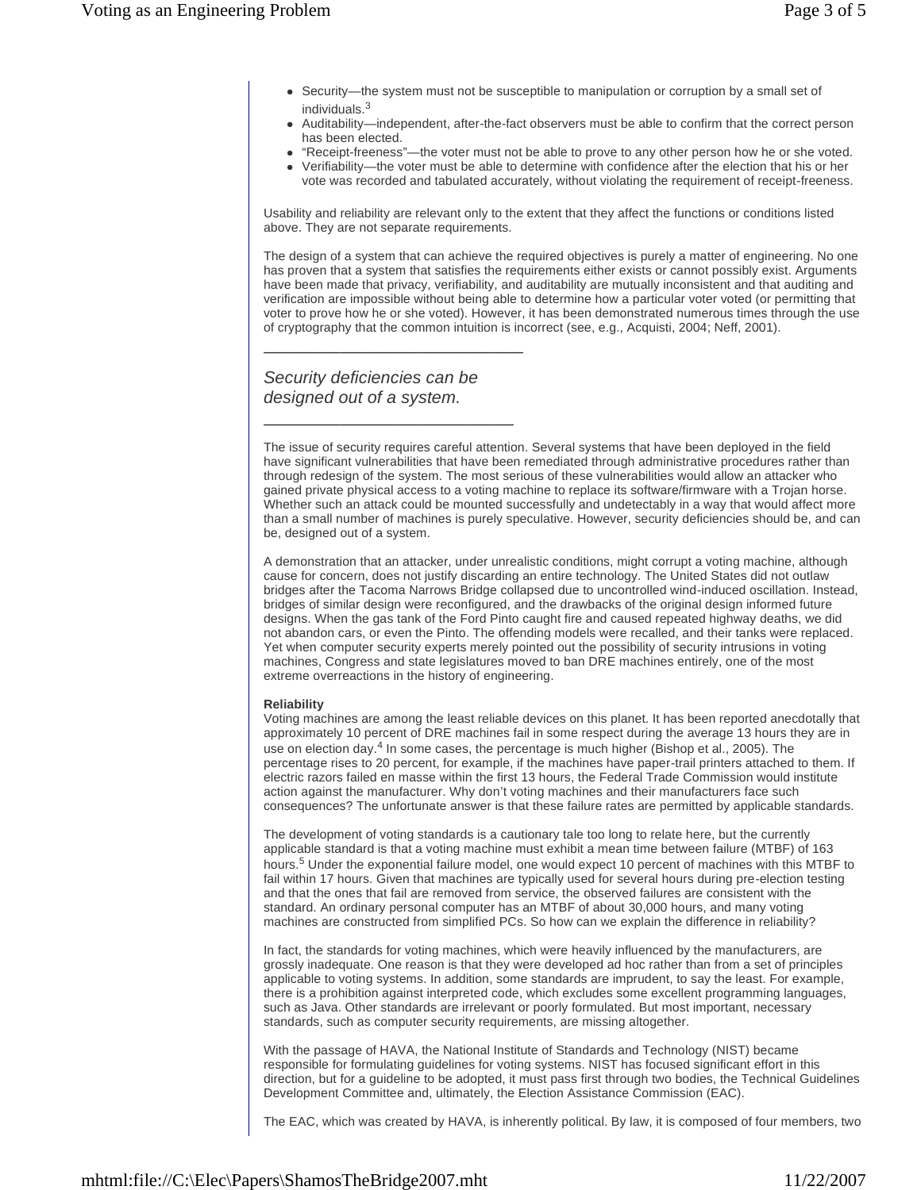- Security—the system must not be susceptible to manipulation or corruption by a small set of individuals.<sup>3</sup>
- Auditability—independent, after-the-fact observers must be able to confirm that the correct person has been elected.
- "Receipt-freeness"—the voter must not be able to prove to any other person how he or she voted.
- Verifiability—the voter must be able to determine with confidence after the election that his or her vote was recorded and tabulated accurately, without violating the requirement of receipt-freeness.

Usability and reliability are relevant only to the extent that they affect the functions or conditions listed above. They are not separate requirements.

The design of a system that can achieve the required objectives is purely a matter of engineering. No one has proven that a system that satisfies the requirements either exists or cannot possibly exist. Arguments have been made that privacy, verifiability, and auditability are mutually inconsistent and that auditing and verification are impossible without being able to determine how a particular voter voted (or permitting that voter to prove how he or she voted). However, it has been demonstrated numerous times through the use of cryptography that the common intuition is incorrect (see, e.g., Acquisti, 2004; Neff, 2001).

*Security deficiencies can be designed out of a system.*

\_\_\_\_\_\_\_\_\_\_\_\_\_\_\_\_\_\_\_\_\_\_\_\_\_\_\_

\_\_\_\_\_\_\_\_\_\_\_\_\_\_\_\_\_\_\_\_\_\_\_\_\_\_

The issue of security requires careful attention. Several systems that have been deployed in the field have significant vulnerabilities that have been remediated through administrative procedures rather than through redesign of the system. The most serious of these vulnerabilities would allow an attacker who gained private physical access to a voting machine to replace its software/firmware with a Trojan horse. Whether such an attack could be mounted successfully and undetectably in a way that would affect more than a small number of machines is purely speculative. However, security deficiencies should be, and can be, designed out of a system.

A demonstration that an attacker, under unrealistic conditions, might corrupt a voting machine, although cause for concern, does not justify discarding an entire technology. The United States did not outlaw bridges after the Tacoma Narrows Bridge collapsed due to uncontrolled wind-induced oscillation. Instead, bridges of similar design were reconfigured, and the drawbacks of the original design informed future designs. When the gas tank of the Ford Pinto caught fire and caused repeated highway deaths, we did not abandon cars, or even the Pinto. The offending models were recalled, and their tanks were replaced. Yet when computer security experts merely pointed out the possibility of security intrusions in voting machines, Congress and state legislatures moved to ban DRE machines entirely, one of the most extreme overreactions in the history of engineering.

## **Reliability**

Voting machines are among the least reliable devices on this planet. It has been reported anecdotally that approximately 10 percent of DRE machines fail in some respect during the average 13 hours they are in use on election day.<sup>4</sup> In some cases, the percentage is much higher (Bishop et al., 2005). The percentage rises to 20 percent, for example, if the machines have paper-trail printers attached to them. If electric razors failed en masse within the first 13 hours, the Federal Trade Commission would institute action against the manufacturer. Why don't voting machines and their manufacturers face such consequences? The unfortunate answer is that these failure rates are permitted by applicable standards.

The development of voting standards is a cautionary tale too long to relate here, but the currently applicable standard is that a voting machine must exhibit a mean time between failure (MTBF) of 163 hours.<sup>5</sup> Under the exponential failure model, one would expect 10 percent of machines with this MTBF to fail within 17 hours. Given that machines are typically used for several hours during pre-election testing and that the ones that fail are removed from service, the observed failures are consistent with the standard. An ordinary personal computer has an MTBF of about 30,000 hours, and many voting machines are constructed from simplified PCs. So how can we explain the difference in reliability?

In fact, the standards for voting machines, which were heavily influenced by the manufacturers, are grossly inadequate. One reason is that they were developed ad hoc rather than from a set of principles applicable to voting systems. In addition, some standards are imprudent, to say the least. For example, there is a prohibition against interpreted code, which excludes some excellent programming languages, such as Java. Other standards are irrelevant or poorly formulated. But most important, necessary standards, such as computer security requirements, are missing altogether.

With the passage of HAVA, the National Institute of Standards and Technology (NIST) became responsible for formulating guidelines for voting systems. NIST has focused significant effort in this direction, but for a guideline to be adopted, it must pass first through two bodies, the Technical Guidelines Development Committee and, ultimately, the Election Assistance Commission (EAC).

The EAC, which was created by HAVA, is inherently political. By law, it is composed of four members, two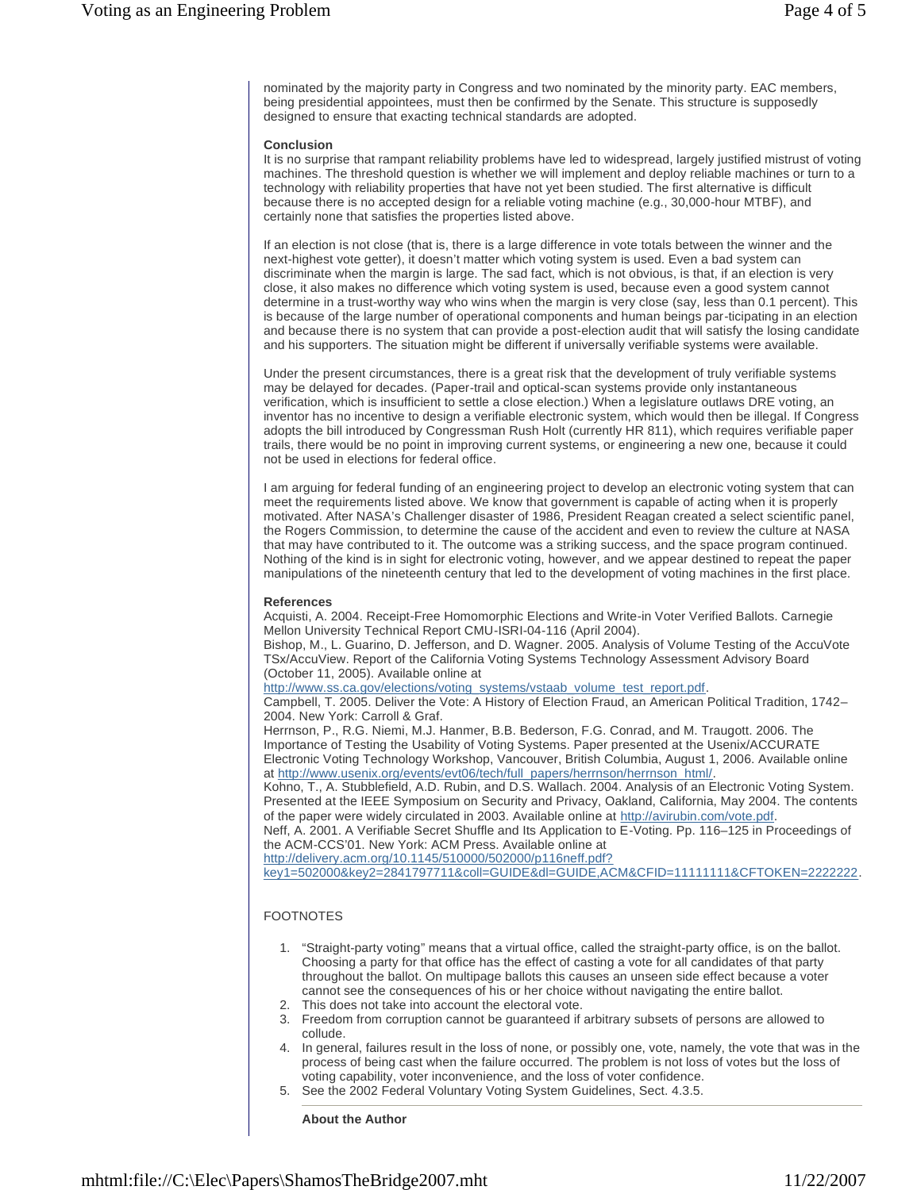nominated by the majority party in Congress and two nominated by the minority party. EAC members, being presidential appointees, must then be confirmed by the Senate. This structure is supposedly designed to ensure that exacting technical standards are adopted.

## **Conclusion**

It is no surprise that rampant reliability problems have led to widespread, largely justified mistrust of voting machines. The threshold question is whether we will implement and deploy reliable machines or turn to a technology with reliability properties that have not yet been studied. The first alternative is difficult because there is no accepted design for a reliable voting machine (e.g., 30,000-hour MTBF), and certainly none that satisfies the properties listed above.

If an election is not close (that is, there is a large difference in vote totals between the winner and the next-highest vote getter), it doesn't matter which voting system is used. Even a bad system can discriminate when the margin is large. The sad fact, which is not obvious, is that, if an election is very close, it also makes no difference which voting system is used, because even a good system cannot determine in a trust-worthy way who wins when the margin is very close (say, less than 0.1 percent). This is because of the large number of operational components and human beings par-ticipating in an election and because there is no system that can provide a post-election audit that will satisfy the losing candidate and his supporters. The situation might be different if universally verifiable systems were available.

Under the present circumstances, there is a great risk that the development of truly verifiable systems may be delayed for decades. (Paper-trail and optical-scan systems provide only instantaneous verification, which is insufficient to settle a close election.) When a legislature outlaws DRE voting, an inventor has no incentive to design a verifiable electronic system, which would then be illegal. If Congress adopts the bill introduced by Congressman Rush Holt (currently HR 811), which requires verifiable paper trails, there would be no point in improving current systems, or engineering a new one, because it could not be used in elections for federal office.

I am arguing for federal funding of an engineering project to develop an electronic voting system that can meet the requirements listed above. We know that government is capable of acting when it is properly motivated. After NASA's Challenger disaster of 1986, President Reagan created a select scientific panel, the Rogers Commission, to determine the cause of the accident and even to review the culture at NASA that may have contributed to it. The outcome was a striking success, and the space program continued. Nothing of the kind is in sight for electronic voting, however, and we appear destined to repeat the paper manipulations of the nineteenth century that led to the development of voting machines in the first place.

## **References**

Acquisti, A. 2004. Receipt-Free Homomorphic Elections and Write-in Voter Verified Ballots. Carnegie Mellon University Technical Report CMU-ISRI-04-116 (April 2004).

Bishop, M., L. Guarino, D. Jefferson, and D. Wagner. 2005. Analysis of Volume Testing of the AccuVote TSx/AccuView. Report of the California Voting Systems Technology Assessment Advisory Board (October 11, 2005). Available online at

http://www.ss.ca.gov/elections/voting\_systems/vstaab\_volume\_test\_report.pdf.

Campbell, T. 2005. Deliver the Vote: A History of Election Fraud, an American Political Tradition, 1742– 2004. New York: Carroll & Graf.

Herrnson, P., R.G. Niemi, M.J. Hanmer, B.B. Bederson, F.G. Conrad, and M. Traugott. 2006. The Importance of Testing the Usability of Voting Systems. Paper presented at the Usenix/ACCURATE Electronic Voting Technology Workshop, Vancouver, British Columbia, August 1, 2006. Available online at http://www.usenix.org/events/evt06/tech/full\_papers/herrnson/herrnson\_html/.

Kohno, T., A. Stubblefield, A.D. Rubin, and D.S. Wallach. 2004. Analysis of an Electronic Voting System. Presented at the IEEE Symposium on Security and Privacy, Oakland, California, May 2004. The contents of the paper were widely circulated in 2003. Available online at http://avirubin.com/vote.pdf.

Neff, A. 2001. A Verifiable Secret Shuffle and Its Application to E-Voting. Pp. 116–125 in Proceedings of the ACM-CCS'01. New York: ACM Press. Available online at

http://delivery.acm.org/10.1145/510000/502000/p116neff.pdf?

key1=502000&key2=2841797711&coll=GUIDE&dl=GUIDE,ACM&CFID=11111111&CFTOKEN=2222222.

## FOOTNOTES

- 1. "Straight-party voting" means that a virtual office, called the straight-party office, is on the ballot. Choosing a party for that office has the effect of casting a vote for all candidates of that party throughout the ballot. On multipage ballots this causes an unseen side effect because a voter cannot see the consequences of his or her choice without navigating the entire ballot.
- 2. This does not take into account the electoral vote.
- 3. Freedom from corruption cannot be guaranteed if arbitrary subsets of persons are allowed to collude.
- 4. In general, failures result in the loss of none, or possibly one, vote, namely, the vote that was in the process of being cast when the failure occurred. The problem is not loss of votes but the loss of voting capability, voter inconvenience, and the loss of voter confidence.
- 5. See the 2002 Federal Voluntary Voting System Guidelines, Sect. 4.3.5.

# **About the Author**